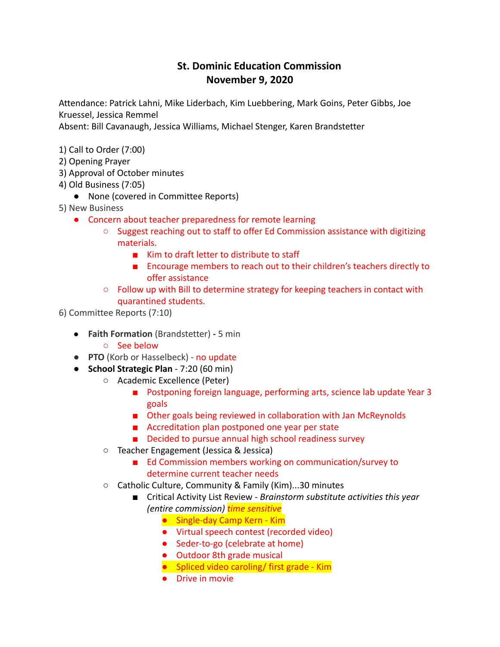## **St. Dominic Education Commission November 9, 2020**

Attendance: Patrick Lahni, Mike Liderbach, Kim Luebbering, Mark Goins, Peter Gibbs, Joe Kruessel, Jessica Remmel

Absent: Bill Cavanaugh, Jessica Williams, Michael Stenger, Karen Brandstetter

- 1) Call to Order (7:00)
- 2) Opening Prayer
- 3) Approval of October minutes
- 4) Old Business (7:05)
	- None (covered in Committee Reports)
- 5) New Business
	- Concern about teacher preparedness for remote learning
		- $\circ$  Suggest reaching out to staff to offer Ed Commission assistance with digitizing materials.
			- Kim to draft letter to distribute to staff
			- Encourage members to reach out to their children's teachers directly to offer assistance
		- Follow up with Bill to determine strategy for keeping teachers in contact with quarantined students.

6) Committee Reports (7:10)

- **Faith Formation** (Brandstetter) **-** 5 min
	- See below
- **PTO** (Korb or Hasselbeck) no update
- **School Strategic Plan** 7:20 (60 min)
	- Academic Excellence (Peter)
		- Postponing foreign language, performing arts, science lab update Year 3 goals
		- Other goals being reviewed in collaboration with Jan McReynolds
		- Accreditation plan postponed one year per state
		- Decided to pursue annual high school readiness survey
	- Teacher Engagement (Jessica & Jessica)
		- Ed Commission members working on communication/survey to determine current teacher needs
	- Catholic Culture, Community & Family (Kim)...30 minutes
		- Critical Activity List Review *Brainstorm substitute activities this year (entire commission) time sensitive*
			- Single-day Camp Kern Kim
			- Virtual speech contest (recorded video)
			- Seder-to-go (celebrate at home)
			- Outdoor 8th grade musical
			- Spliced video caroling/ first grade Kim
			- Drive in movie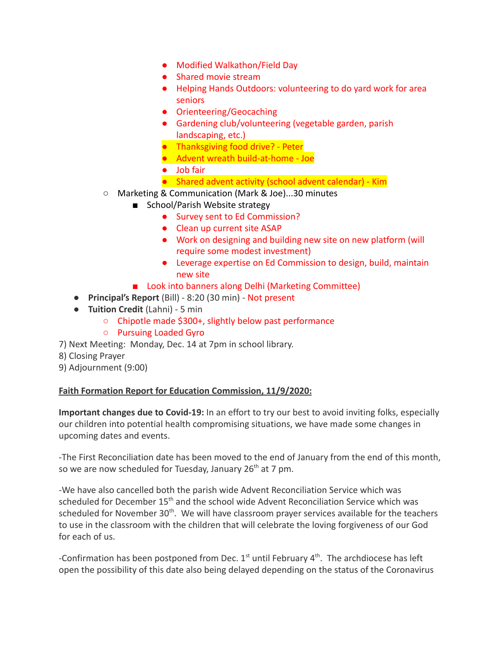- Modified Walkathon/Field Day
- Shared movie stream
- Helping Hands Outdoors: volunteering to do yard work for area seniors
- Orienteering/Geocaching
- Gardening club/volunteering (vegetable garden, parish landscaping, etc.)
- Thanksgiving food drive? Peter
- Advent wreath build-at-home Joe
- Job fair
- Shared advent activity (school advent calendar) Kim
- Marketing & Communication (Mark & Joe)...30 minutes
	- School/Parish Website strategy
		- Survey sent to Ed Commission?
		- Clean up current site ASAP
		- Work on designing and building new site on new platform (will require some modest investment)
		- Leverage expertise on Ed Commission to design, build, maintain new site
	- Look into banners along Delhi (Marketing Committee)
- **Principal's Report** (Bill) 8:20 (30 min) Not present
- **Tuition Credit** (Lahni) 5 min
	- Chipotle made \$300+, slightly below past performance
	- Pursuing Loaded Gyro
- 7) Next Meeting: Monday, Dec. 14 at 7pm in school library.
- 8) Closing Prayer
- 9) Adjournment (9:00)

## **Faith Formation Report for Education Commission, 11/9/2020:**

**Important changes due to Covid-19:** In an effort to try our best to avoid inviting folks, especially our children into potential health compromising situations, we have made some changes in upcoming dates and events.

-The First Reconciliation date has been moved to the end of January from the end of this month, so we are now scheduled for Tuesday, January  $26<sup>th</sup>$  at 7 pm.

-We have also cancelled both the parish wide Advent Reconciliation Service which was scheduled for December 15<sup>th</sup> and the school wide Advent Reconciliation Service which was scheduled for November 30<sup>th</sup>. We will have classroom prayer services available for the teachers to use in the classroom with the children that will celebrate the loving forgiveness of our God for each of us.

-Confirmation has been postponed from Dec.  $1^{st}$  until February  $4^{th}$ . The archdiocese has left open the possibility of this date also being delayed depending on the status of the Coronavirus